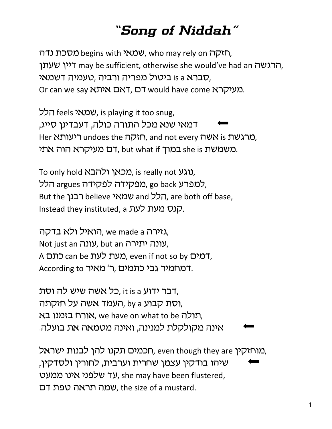## *"Song of Niddah"*

ואקה begins with שמאי, who may rely on האקה, הרגשה may be sufficient, otherwise she would've had an הרגשה, סברא is a ביטול מפריה ורביה ,טעמיה דשמאי, Or can we say ראם איתא סדם, סעיקרא or can we say

הלל, feels וועמאי is playing it too snug, דמאי שנא מכל התורה כולה. דעבדינו סייג. Her מרגשת undoes the תוקה, and not every המרגשת, משמשת she is במוך but what if משמשת.

To only hold בוגע, is really not נוגע, למפרע go back מפקידה לפקידה, argues הלל, But the **הלל believe שמאי** and **i**cr are both off base, Instead they instituted, a קנס מעת לעת.

הואיל ולא בדקה, we made a גזירה, Not just an עונה יתירה, but an עונה, A כתם, can be כאעת לעת, even if not so by כתם, According to ר' מאיר. אבי כתמים, דמחמיר גבי

, דבר ידוע it is a כל אשה שיש לה וסת, רסת קבוע 6 by העמד אשה על חזקתה, תולה אורח בזמנו בא, we have on what to be ת אינה מקולקלת למנינה, ואינה מטמאה את בועלה.

מוחזקין ,even though they are חכמים תקנו להן לבנות ישראל, שיהו בודקין עצמן שחרית וערבית, לחורין ולסדקין, עד שלפני אינו ממעט, she may have been flustered, שמה תראה טפת דם, the size of a mustard.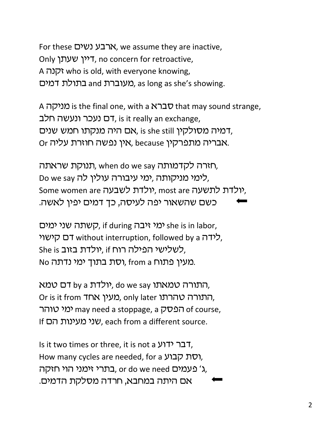For these הרבע נשים, we assume they are inactive, Only דיין שעתן, no concern for retroactive, A *הכרה* who is old, with everyone knowing, מעוברת and בתולת דמים. as long as she's showing.

A כורא is the final one, with a כברא that may sound strange, רם נעכר ונעשה חלב, is it really an exchange, דמיה מסולקין וו, is she still היה מנקתו חמש שנים, Or אבריה מתפרקין because ,אין נפשה חוזרת עליה.

תורה לקדמותה when do we say ,תארה לקדמותה, Do we say לימי מניקותה, ימי עיבורה עולין לה, Some women are לולדת לשבעה, most are יולדת, כשם שהשאור יפה לעיסה, כך דמים יפין לאשה.

כאי ימים, if during ימי איבה, she is in labor, לידה T without interruption, followed by a קלידה, She is יולדת בזוב, if is לשלישי הפילה רוח, No מעין פתוח from a וסת בתוך ימי נדתה.

התורה טמאתו do we say יולדת by a התורה טמא Or is it from תעין אחד, only later התורה טהרתו, ימי טוהר may need a stoppage, a הפסק of course, If שני מעינות הם hf שני שני each from a different source.

Is it two times or three, it is not a דבר ידוע, How many cycles are needed, for a רסת קבוע, בתרי זימני הוי חזקה, or do we need באמים,  $\lambda$ , אם היתה במחבא, חרדה מסלקת הדמים.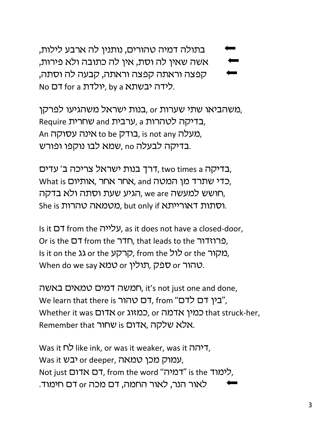בתולה דמיה טהורים, נותנין לה ארבע לילות, אשה שאין לה וסת, אין לה כתובה ולא פירות, קפצה וראתה קפצה וראתה, קבעה לה וסתה, No בלידה יבשתא by a ,יולדת ה אס דם No

משהביאו שתי שערות or בנות ישראל משהגיעו לפרקו, Require שחרית, a ערבית and אחרית, a An אינה עסוקה. is not any כודק, is not any בדיקה לבעלה no ,שמא לבו נוקפו ופורש.

בדיקה two times a ,דרך בנות ישראל צריכה ב׳ עדים, What is אחר אחר, אותיום, אותניום, הגיע שעת וסתה ולא בדקה, we are הגיע את ה She is וסתות דאורייתא. but only if מטמאה טהרות.

Is it D<sup>T</sup> from the עלייה, as it does not have a closed-door, Or is the DT from the  $\overline{1}$ Th, that leads to the  $\overline{1}$ Is it on the גג or the קרקע sit on the הרקע sit on the המקור When do we say *NNO* or ספק, תולין. When do we say N

חמשה דמים טמאים באשה, it's not just one and done, We learn that there is רם טהור, from "בין דם לדם". Whether it was כמין אדמה, or כמזוג or כלון אדמה Remember that שחור. אלא שלקה, אדום

Was it לח"ל like ink, or was it weaker, was it ולחה Was it יבש or deeper, עמוק מכן טמאה. Not just אדום אדום). from the word "דמיה" is the לימוד לאור הנר, לאור החמה, דם מכה or דם חימוד.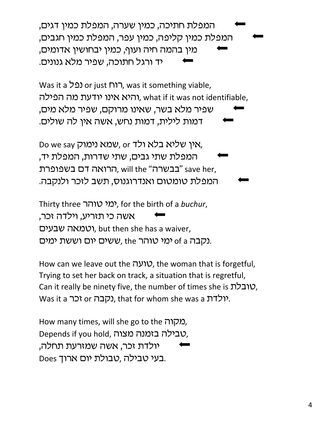המפלת חתיכה, כמין שערה, המפלת כמין דגים, המפלת כמין קליפה, כמין עפר, המפלת כמין חגבים, מין בהמה חיה ועוף, כמין יבחושין אדומים, יד ורגל חתוכה, שפיר מלא גנונים.

Was it a נפל or just רוח, was it something viable, והיא אינו יודעת מה הפילה, what if it was not identifiable, שפיר מלא בשר, שאינו מרוקם, שפיר מלא מים, דמות לילית, דמות נחש, אשה אין לה שולים.

Do we say ולד, or שמא נימוק, המפלת שתי גבים, שתי שדרות, המפלת יד, בבשרה" וווא ,הרואה דם בשפופרת save her, המפלת טומטום ואנדרוגנוס, תשב לזכר ולנקבה.

Thirty three rvuy hnh, for the birth of a *buchur*, אשה כי תזריע, וילדה זכר, וטמאה שבעים, but then she has a waiver, נקבה 6 of a ימי טוהר the ששים יום וששת ימים.

How can we leave out the *VIV*, the woman that is forgetful, Trying to set her back on track, a situation that is regretful, Can it really be ninety five, the number of times she is  $\mu$ טובלת, Was it a יולדת. that for whom she was a יולדת.

How many times, will she go to the תקורה. Depends if you hold, טבילה בזמנה מצוה, יולדת זכר, אשה שמזרעת תחלה, Does בעי טבילה, טבולת יום ארוך.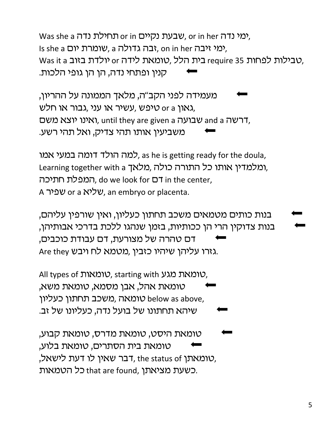עבעת נקיים or in תחילת נדה she a שבעת. or in her Is she a ימי יום, a הבה גדולה, on in her יבה, Was it a טבילות לידה or כית הלל, טומאת לידה or הא קנין ופתחי נדה, הן הן גופי הלכות.

מעמידה לפני הקב"ה, מלאך הממונה על ההריון, עשיר או עני ,גבור או חלש, x גאון or a משם, ואינו יוצא משם, until they are given a רשה and a חרשה משביעין אותו תהי צדיק, ואל תהי רשע.

למה הולד דומה במעי אמו, as he is getting ready for the doula, ומלמדין אותו כל התורה כולה, מלאך Learning together with a המפלת חתיכה, do we look for D7 in the center, A שפיר or a שליא or a שפיר. an embryo or placenta.

בנות כותים מטמאים משכב תחתון כעליון, ואין שורפין עליהם, בנות צדוקין הרי הן ככותיות, בזמן שנהגו ללכת בדרכי אבותיהן, דם טהרה של מצורעת, דם עבודת כוכבים, Are they גזרו עליהן שיהיו כזבין, מטמא לח ויבש.

All types of *געט, starting with טומאת מגע* טומאת אהל, אבן מסמא, טומאת משא, טומאה ,משכב תחתון כעליון below as above, שיהא תחתונו של בועל נדה, כעליונו של זב.

טומאת היסט, טומאת מדרס, טומאת קבוע, טומאת בית הסתרים, טומאת בלוע, רבר שאין לו דעת לישאל, the status of ,טומאתן, כל הטמאות that are found, כשעת מציאתן.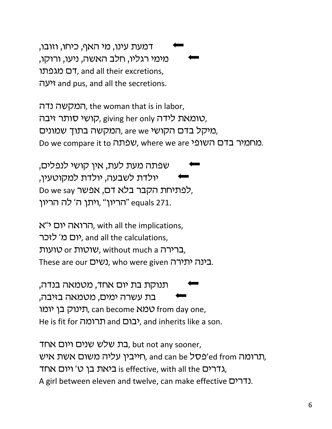דמעת עינו, מי האף, כיחו, וזובו, מימי רגליו, חלב האשה, ניעו, ורוקו, דם מגפתו (דה מגפתו יעה? and pus, and all the secretions.

המקשה נדה, the woman that is in labor, , טומאת לידה giving her only ,קושי סותר זיבה, , מיקל בדם הקושי are we ,המקשה בתוך שמונים Do we compare it to שפתה, where we are ישמיר בדם השופי

שפתה מעת לעת, אין קושי לנפלים, יולדת לשבעה, יולדת למקוטעין, Do we say לפתיחת הקבר בלא דם, אפשר, "equals 271. ויתן ה' לה הריון

הרואה יום י"א, with all the implications, יום מ' לזכר, and all the calculations, סועות, without much a כרירה. These are our (שים), who were given בינה יתירה.

תנוקת בת יום אחד, מטמאה בנדה, בת עשרה ימים, מטמאה בזיבה, תינוק בן יומו, can become N2V from day one, He is fit for תרומה, and inherits like a son.

בת שלש שנים ויום אחד, but not any sooner, תרומה ed from וחייבין עליה משום אשת איש, and can be רערומה), דרים אחד is effective, with all the גדרים אחד. A girl between eleven and twelve, can make effective D'11.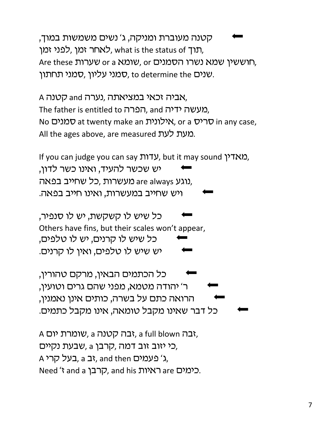קטנה מעוברת ומניקה, ג' נשים משמשות במוך, תוך אחר זמן, לאחר אנן, what is the status of ת Are these שומא משרו הסמנים, or a וועש or a hese hese hese h שנים to determine the סמני עליון. שמני תחתון.

A אביה זכאי במציאתה, נערה and קטנה, The father is entitled to הפרה, and מעשה ידיה, No סמנים, at twenty make an אילונית, or a אילונית in any case, All the ages above, are measured במעת לעת.

If you can judge you can say תראדין, but it may sound ואדין, יש שכשר להעיד, ואינו כשר לדון, נוגע are always מעשרות ,כל שחייב בפאה. ויש שחייב במעשרות, ואינו חייב בפאה.

כל שיש לו קשקשת, יש לו סנפיר, Others have fins, but their scales won't appear, 'כל שיש לו קרנים, יש לו טלפים, יש שיש לו טלפים, ואין לו קרנים.

'כל הכתמים הבאין, מרקם טהורין, ר' יהודה מטמא, מפני שהם גרים וטועין, הרואה כתם על בשרה, כותים אינן נאמנין, כל דבר שאינו מקבל טומאה, אינו מקבל כתמים.

A גבה ה, שומרת יום, a full blown גבה, כי יזוב זוב דמה, קרבן a שבעת נקיים, A בעמים, a ג' a cעמים, a ג' eעמים, Need 't and a כימים are ראיות, and his ה'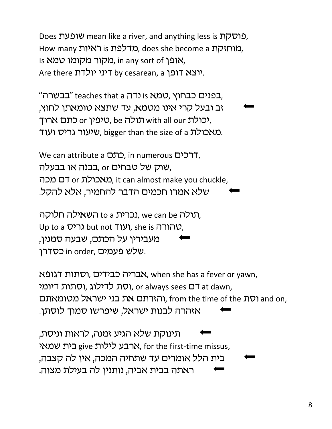Does שופעת mean like a river, and anything less is פוסקת How many מרלפת is כאיות does she become a מוחזקת. Is אופן in any sort of מקור מקומו טמא, Are there יוצא דופן. by cesarean, a ויני יולדת

בנים כבחוץ ,טמא is נדה teaches that a "בבשרה". זב ובעל קרי אינו מטמא, עד שתצא טומאתן לחוץ, טיפין or יכתם ארוך, be פרנס with all our יכולת, שיעור גריס ועוד. bigger than the size of a שיעור.

We can attribute a רכים, in numerous רכים שוק של טבחים or בבנה או בבעלה. מאכולת or באכולת or באכולת וit can almost make you chuckle. שלא אמרו חכמים הדבר להחמיר, אלא להקל.

נכרית to a השאילה חלוקה, we can be תולה, Up to a ועוד but not ועוד), she is טהורה, מעבירין על הכתם, שבעה סמנין, שלש פעמים, in order כסדרן.

אבריה כבידים, וסתות דגופא, when she has a fever or yawn, וסת לדילוג, וסתות דיומי. or always sees בח at dawn, והזרתם את בני ישראל מטומאתם, from the time of the וסת) and on, אזהרה לבנות ישראל, שיפרשו סמוך לוסתן.

תינוקת שלא הגיע זמנה, לראות וניסת, ארבע לילות give בית שמאי, for the first-time missus, בית הלל אומרים עד שתחיה המכה, אין לה קצבה, ראתה בבית אביה, נותנין לה בעילת מצוה.